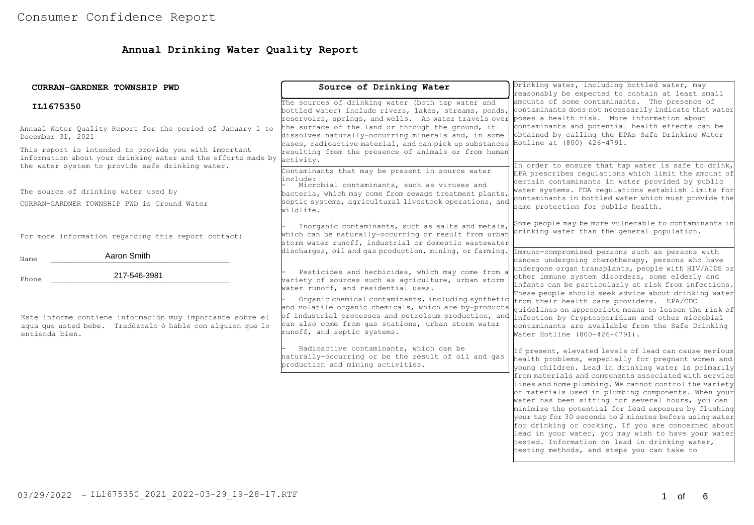# **Annual Drinking Water Quality Report**

| CURRAN-GARDNER TOWNSHIP PWD                                                                                                                                                | Source of Drinking Water                                                                                                                                                                                                                                  | Drinking water, including bottled water, may<br>reasonably be expected to contain at least small                                                                                                                                                                                                                                                                                                                                          |
|----------------------------------------------------------------------------------------------------------------------------------------------------------------------------|-----------------------------------------------------------------------------------------------------------------------------------------------------------------------------------------------------------------------------------------------------------|-------------------------------------------------------------------------------------------------------------------------------------------------------------------------------------------------------------------------------------------------------------------------------------------------------------------------------------------------------------------------------------------------------------------------------------------|
| IL1675350                                                                                                                                                                  | The sources of drinking water (both tap water and<br>bottled water) include rivers, lakes, streams, ponds,<br>reservoirs, springs, and wells. As water travels over poses a health risk. More information about                                           | amounts of some contaminants. The presence of<br>contaminants does not necessarily indicate that water                                                                                                                                                                                                                                                                                                                                    |
| Annual Water Quality Report for the period of January 1 to<br>December 31, 2021                                                                                            | the surface of the land or through the ground, it<br>dissolves naturally-occurring minerals and, in some<br>cases, radioactive material, and can pick up substances Hotline at (800) 426-4791.                                                            | contaminants and potential health effects can be<br>obtained by calling the EPAs Safe Drinking Water                                                                                                                                                                                                                                                                                                                                      |
| This report is intended to provide you with important<br>information about your drinking water and the efforts made by<br>the water system to provide safe drinking water. | resulting from the presence of animals or from human<br>activity.<br>Contaminants that may be present in source water                                                                                                                                     | In order to ensure that tap water is safe to drink,<br>EPA prescribes regulations which limit the amount of                                                                                                                                                                                                                                                                                                                               |
| The source of drinking water used by<br>CURRAN-GARDNER TOWNSHIP PWD is Ground Water                                                                                        | include:<br>Microbial contaminants, such as viruses and<br>bacteria, which may come from sewage treatment plants,<br>septic systems, agricultural livestock operations, and<br>wildlife.                                                                  | certain contaminants in water provided by public<br>water systems. FDA regulations establish limits for<br>contaminants in bottled water which must provide the<br>same protection for public health.                                                                                                                                                                                                                                     |
| For more information regarding this report contact:                                                                                                                        | Inorganic contaminants, such as salts and metals,<br>which can be naturally-occurring or result from urban<br>storm water runoff, industrial or domestic wastewater                                                                                       | Some people may be more vulnerable to contaminants in<br>drinking water than the general population.                                                                                                                                                                                                                                                                                                                                      |
| Aaron Smith<br>Name                                                                                                                                                        | discharges, oil and gas production, mining, or farming.                                                                                                                                                                                                   | Immuno-compromised persons such as persons with<br>cancer undergoing chemotherapy, persons who have                                                                                                                                                                                                                                                                                                                                       |
| 217-546-3981<br>Phone                                                                                                                                                      | Pesticides and herbicides, which may come from a<br>wariety of sources such as agriculture, urban storm<br>water runoff, and residential uses.                                                                                                            | undergone organ transplants, people with HIV/AIDS or<br>other immune system disorders, some elderly and<br>infants can be particularly at risk from infections.                                                                                                                                                                                                                                                                           |
| Este informe contiene información muy importante sobre el<br>aqua que usted bebe. Tradúzcalo ó hable con alquien que lo<br>entienda bien.                                  | Organic chemical contaminants, including synthetic<br>and volatile organic chemicals, which are by-products<br>of industrial processes and petroleum production, and<br>can also come from gas stations, urban storm water<br>runoff, and septic systems. | These people should seek advice about drinking water<br>from their health care providers. EPA/CDC<br>quidelines on appropriate means to lessen the risk of<br>infection by Cryptosporidium and other microbial<br>contaminants are available from the Safe Drinking<br>Water Hotline (800-426-4791).                                                                                                                                      |
|                                                                                                                                                                            | Radioactive contaminants, which can be<br>naturally-occurring or be the result of oil and gas<br>production and mining activities.                                                                                                                        | If present, elevated levels of lead can cause serious<br>health problems, especially for pregnant women and<br>young children. Lead in drinking water is primarily<br>from materials and components associated with service<br>lines and home plumbing. We cannot control the variety                                                                                                                                                     |
|                                                                                                                                                                            |                                                                                                                                                                                                                                                           | of materials used in plumbing components. When your<br>water has been sitting for several hours, you can<br>minimize the potential for lead exposure by flushing<br>your tap for 30 seconds to 2 minutes before using water<br>for drinking or cooking. If you are concerned about<br>lead in your water, you may wish to have your water<br>tested. Information on lead in drinking water,<br>testing methods, and steps you can take to |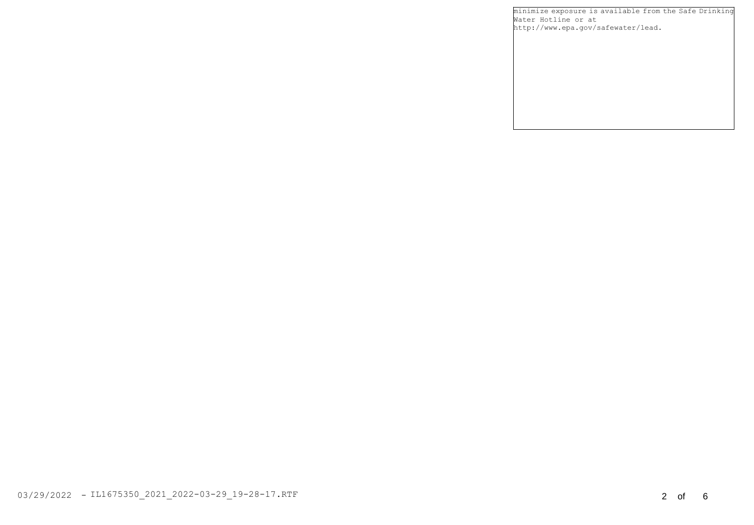minimize exposure is available from the Safe Drinking Water Hotline or at http://www.epa.gov/safewater/lead.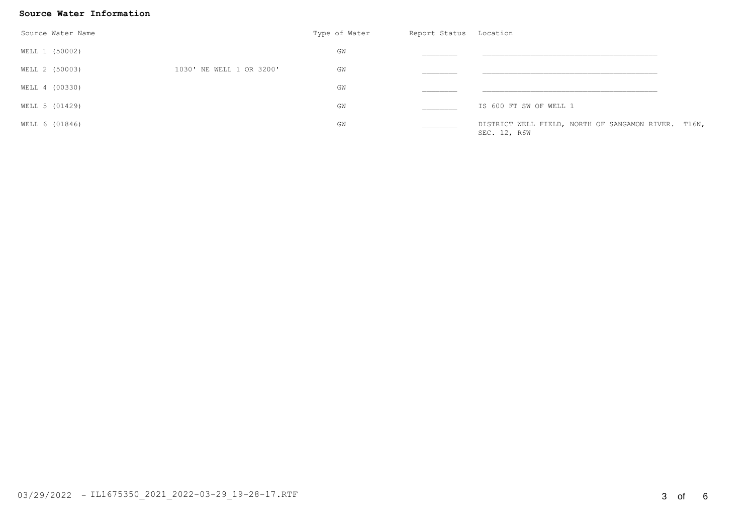### **Source Water Information**

| Source Water Name |                          | Type of Water | Report Status Location |                                                                     |  |
|-------------------|--------------------------|---------------|------------------------|---------------------------------------------------------------------|--|
| WELL 1 (50002)    |                          | GW            |                        |                                                                     |  |
| WELL 2 (50003)    | 1030' NE WELL 1 OR 3200' | GM            |                        |                                                                     |  |
| WELL 4 (00330)    |                          | GW            |                        |                                                                     |  |
| WELL 5 (01429)    |                          | GW            |                        | IS 600 FT SW OF WELL 1                                              |  |
| WELL 6 (01846)    |                          | GW            |                        | DISTRICT WELL FIELD, NORTH OF SANGAMON RIVER. T16N,<br>SEC. 12, R6W |  |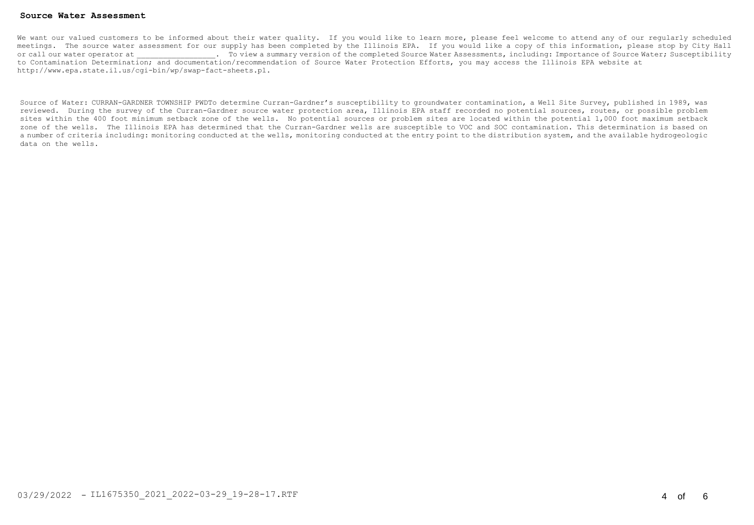#### **Source Water Assessment**

We want our valued customers to be informed about their water quality. If you would like to learn more, please feel welcome to attend any of our reqularly scheduled meetings. The source water assessment for our supply has been completed by the Illinois EPA. If you would like a copy of this information, please stop by City Hall or call our water operator at  $\qquad \qquad$  To view a summary version of the completed Source Water Assessments, including: Importance of Source Water; Susceptibility to Contamination Determination; and documentation/recommendation of Source Water Protection Efforts, you may access the Illinois EPA website at http://www.epa.state.il.us/cgi-bin/wp/swap-fact-sheets.pl.

Source of Water: CURRAN-GARDNER TOWNSHIP PWDTo determine Curran-Gardner's susceptibility to groundwater contamination, a Well Site Survey, published in 1989, was reviewed. During the survey of the Curran-Gardner source water protection area, Illinois EPA staff recorded no potential sources, routes, or possible problem sites within the 400 foot minimum setback zone of the wells. No potential sources or problem sites are located within the potential 1,000 foot maximum setback zone of the wells. The Illinois EPA has determined that the Curran-Gardner wells are susceptible to VOC and SOC contamination. This determination is based on a number of criteria including: monitoring conducted at the wells, monitoring conducted at the entry point to the distribution system, and the available hydrogeologic data on the wells.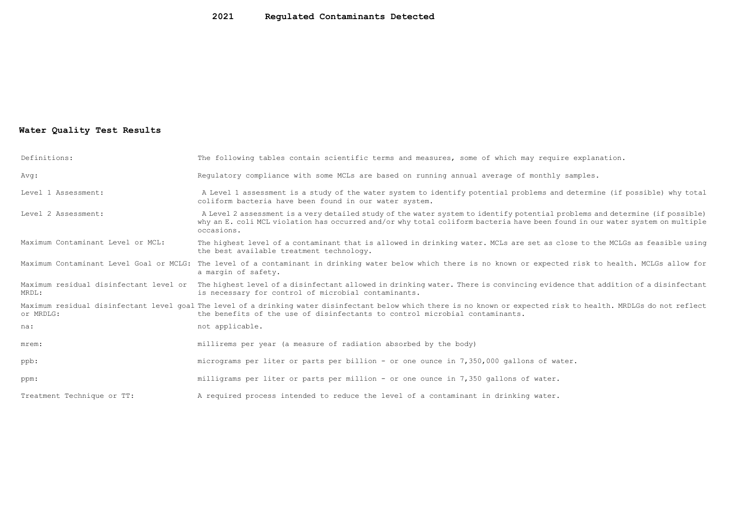## **2021 Regulated Contaminants Detected**

## **Water Quality Test Results**

| Definitions:                      | The following tables contain scientific terms and measures, some of which may require explanation.                                                                                                                                                                         |
|-----------------------------------|----------------------------------------------------------------------------------------------------------------------------------------------------------------------------------------------------------------------------------------------------------------------------|
| Avg:                              | Requlatory compliance with some MCLs are based on running annual average of monthly samples.                                                                                                                                                                               |
| Level 1 Assessment:               | A Level 1 assessment is a study of the water system to identify potential problems and determine (if possible) why total<br>coliform bacteria have been found in our water system.                                                                                         |
| Level 2 Assessment:               | A Level 2 assessment is a very detailed study of the water system to identify potential problems and determine (if possible)<br>why an E. coli MCL violation has occurred and/or why total coliform bacteria have been found in our water system on multiple<br>occasions. |
| Maximum Contaminant Level or MCL: | The highest level of a contaminant that is allowed in drinking water. MCLs are set as close to the MCLGs as feasible using<br>the best available treatment technology.                                                                                                     |
|                                   | Maximum Contaminant Level Goal or MCLG: The level of a contaminant in drinking water below which there is no known or expected risk to health. MCLGs allow for<br>a margin of safety.                                                                                      |
| MRDL:                             | Maximum residual disinfectant level or The highest level of a disinfectant allowed in drinking water. There is convincing evidence that addition of a disinfectant<br>is necessary for control of microbial contaminants.                                                  |
| or MRDLG:                         | Maximum residual disinfectant level qoal The level of a drinking water disinfectant below which there is no known or expected risk to health. MRDLGs do not reflect<br>the benefits of the use of disinfectants to control microbial contaminants.                         |
| na:                               | not applicable.                                                                                                                                                                                                                                                            |
| mrem:                             | millirems per year (a measure of radiation absorbed by the body)                                                                                                                                                                                                           |
| ppb:                              | micrograms per liter or parts per billion - or one ounce in 7,350,000 gallons of water.                                                                                                                                                                                    |
| ppm:                              | milligrams per liter or parts per million - or one ounce in 7,350 gallons of water.                                                                                                                                                                                        |
| Treatment Technique or TT:        | A required process intended to reduce the level of a contaminant in drinking water.                                                                                                                                                                                        |